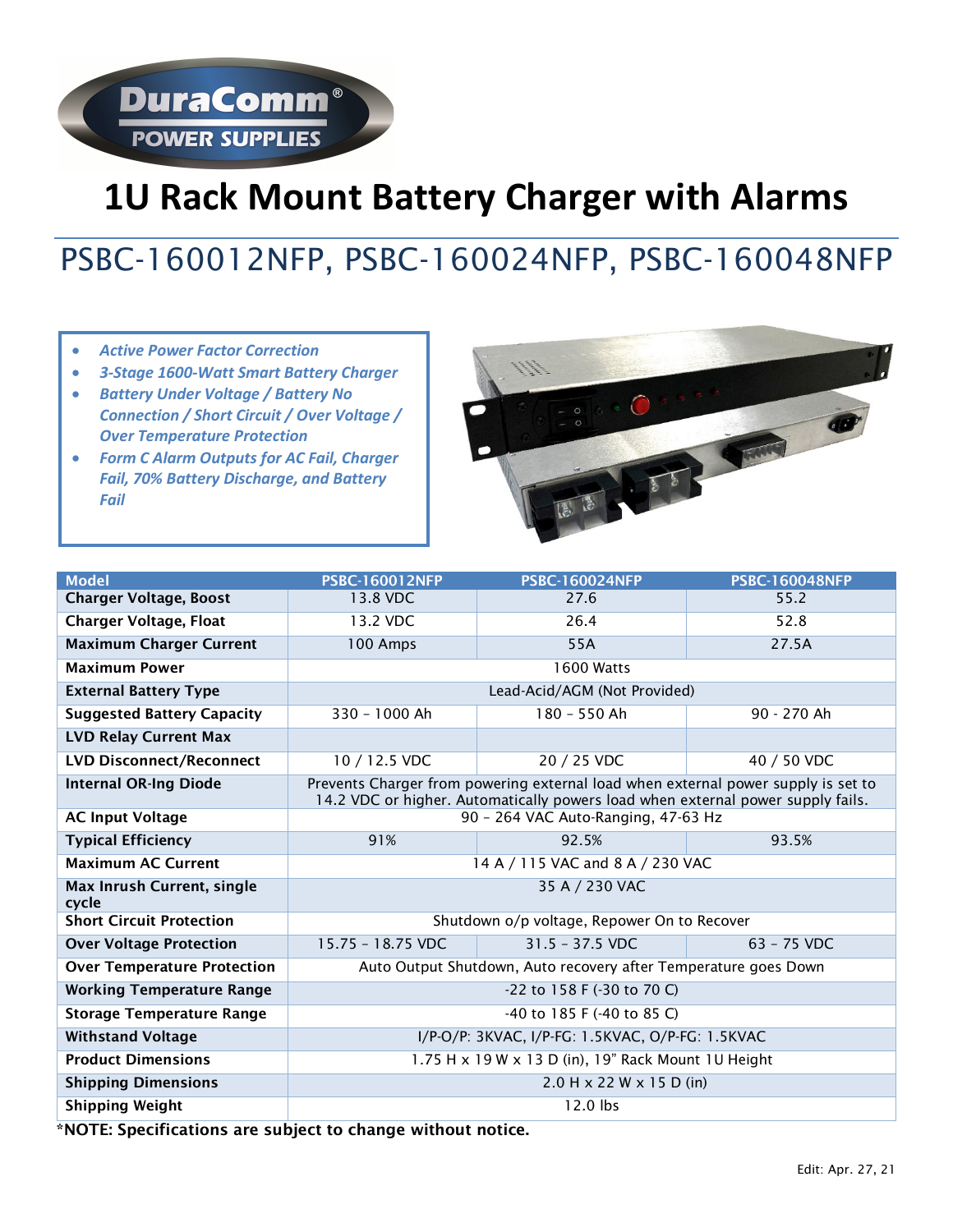# **1U Rack Mount Battery Charger with Alarms**

# PSBC-160012NFP, PSBC-160024NFP, PSBC-160048NFP

- *Active Power Factor Correction*
- *3-Stage 1600-Watt Smart Battery Charger*

**DuraComm®** 

**POWER SUPPLIES** 

- *Battery Under Voltage / Battery No Connection / Short Circuit / Over Voltage / Over Temperature Protection*
- *Form C Alarm Outputs for AC Fail, Charger Fail, 70% Battery Discharge, and Battery Fail*



| <b>Model</b>                               | <b>PSBC-160012NFP</b>                                                                                                                                                | <b>PSBC-160024NFP</b> | <b>PSBC-160048NFP</b> |  |  |  |  |  |  |
|--------------------------------------------|----------------------------------------------------------------------------------------------------------------------------------------------------------------------|-----------------------|-----------------------|--|--|--|--|--|--|
| <b>Charger Voltage, Boost</b>              | 13.8 VDC                                                                                                                                                             | 27.6                  | 55.2                  |  |  |  |  |  |  |
| <b>Charger Voltage, Float</b>              | 13.2 VDC                                                                                                                                                             | 26.4                  | 52.8                  |  |  |  |  |  |  |
| <b>Maximum Charger Current</b>             | 100 Amps                                                                                                                                                             | 55A                   | 27.5A                 |  |  |  |  |  |  |
| <b>Maximum Power</b>                       | 1600 Watts                                                                                                                                                           |                       |                       |  |  |  |  |  |  |
| <b>External Battery Type</b>               | Lead-Acid/AGM (Not Provided)                                                                                                                                         |                       |                       |  |  |  |  |  |  |
| <b>Suggested Battery Capacity</b>          | 330 - 1000 Ah                                                                                                                                                        | 180 - 550 Ah          | 90 - 270 Ah           |  |  |  |  |  |  |
| <b>LVD Relay Current Max</b>               |                                                                                                                                                                      |                       |                       |  |  |  |  |  |  |
| <b>LVD Disconnect/Reconnect</b>            | 10 / 12.5 VDC                                                                                                                                                        | 20 / 25 VDC           | 40 / 50 VDC           |  |  |  |  |  |  |
| <b>Internal OR-Ing Diode</b>               | Prevents Charger from powering external load when external power supply is set to<br>14.2 VDC or higher. Automatically powers load when external power supply fails. |                       |                       |  |  |  |  |  |  |
| <b>AC Input Voltage</b>                    | 90 - 264 VAC Auto-Ranging, 47-63 Hz                                                                                                                                  |                       |                       |  |  |  |  |  |  |
| <b>Typical Efficiency</b>                  | 91%                                                                                                                                                                  | 92.5%                 | 93.5%                 |  |  |  |  |  |  |
| <b>Maximum AC Current</b>                  | 14 A / 115 VAC and 8 A / 230 VAC                                                                                                                                     |                       |                       |  |  |  |  |  |  |
| <b>Max Inrush Current, single</b><br>cycle | 35 A / 230 VAC                                                                                                                                                       |                       |                       |  |  |  |  |  |  |
| <b>Short Circuit Protection</b>            | Shutdown o/p voltage, Repower On to Recover                                                                                                                          |                       |                       |  |  |  |  |  |  |
| <b>Over Voltage Protection</b>             | 15.75 - 18.75 VDC                                                                                                                                                    | $31.5 - 37.5$ VDC     | $63 - 75$ VDC         |  |  |  |  |  |  |
| <b>Over Temperature Protection</b>         | Auto Output Shutdown, Auto recovery after Temperature goes Down                                                                                                      |                       |                       |  |  |  |  |  |  |
| <b>Working Temperature Range</b>           | -22 to 158 F (-30 to 70 C)                                                                                                                                           |                       |                       |  |  |  |  |  |  |
| <b>Storage Temperature Range</b>           | -40 to 185 F (-40 to 85 C)                                                                                                                                           |                       |                       |  |  |  |  |  |  |
| <b>Withstand Voltage</b>                   | I/P-O/P: 3KVAC, I/P-FG: 1.5KVAC, O/P-FG: 1.5KVAC                                                                                                                     |                       |                       |  |  |  |  |  |  |
| <b>Product Dimensions</b>                  | 1.75 H x 19 W x 13 D (in), 19" Rack Mount 1U Height                                                                                                                  |                       |                       |  |  |  |  |  |  |
| <b>Shipping Dimensions</b>                 | $2.0$ H x 22 W x 15 D (in)                                                                                                                                           |                       |                       |  |  |  |  |  |  |
| <b>Shipping Weight</b><br>$\mathbf{A}$     | 12.0 lbs<br><b>FALL</b>                                                                                                                                              |                       |                       |  |  |  |  |  |  |

\*NOTE: Specifications are subject to change without notice.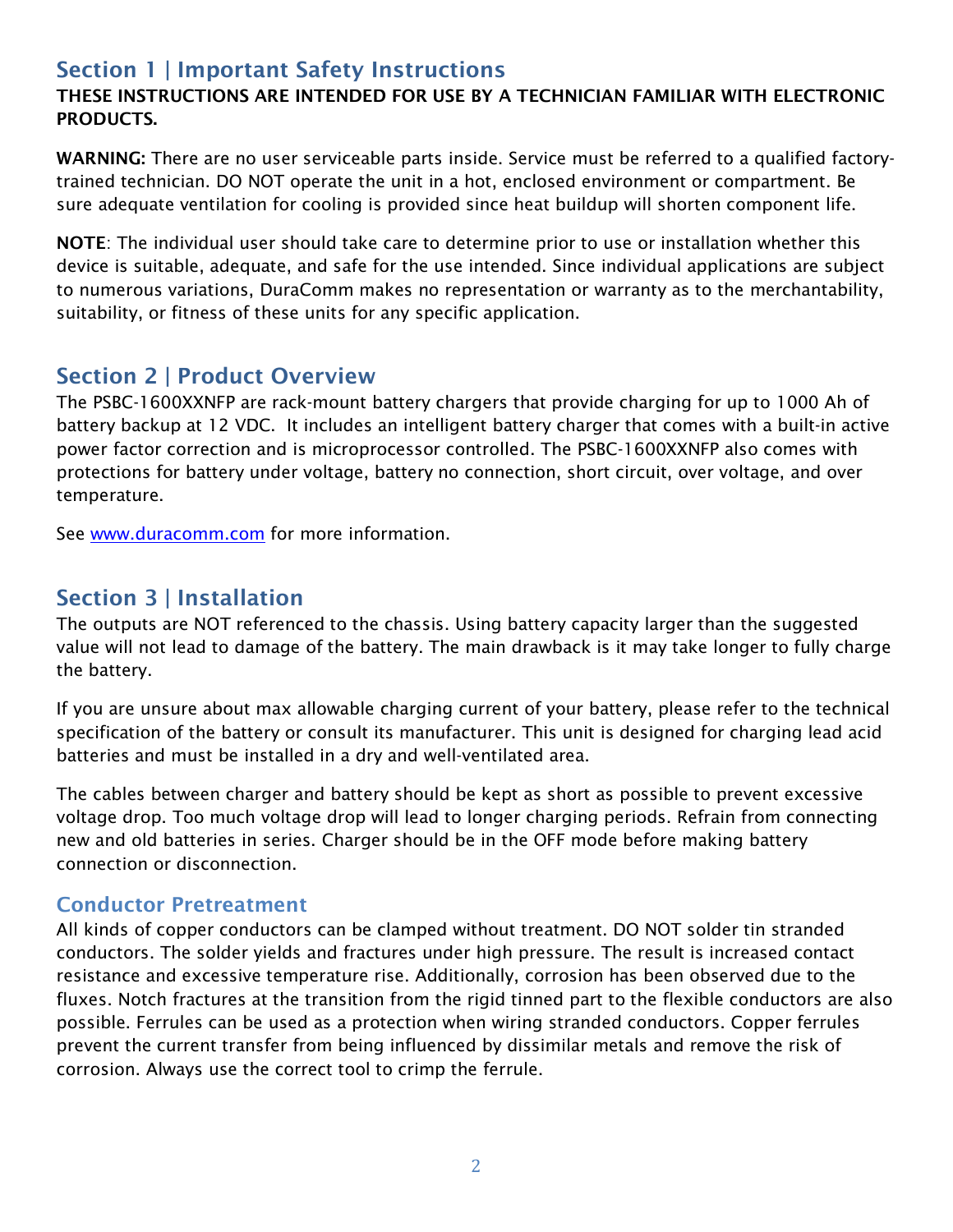# Section 1 | Important Safety Instructions

#### THESE INSTRUCTIONS ARE INTENDED FOR USE BY A TECHNICIAN FAMILIAR WITH ELECTRONIC PRODUCTS.

WARNING: There are no user serviceable parts inside. Service must be referred to a qualified factorytrained technician. DO NOT operate the unit in a hot, enclosed environment or compartment. Be sure adequate ventilation for cooling is provided since heat buildup will shorten component life.

NOTE: The individual user should take care to determine prior to use or installation whether this device is suitable, adequate, and safe for the use intended. Since individual applications are subject to numerous variations, DuraComm makes no representation or warranty as to the merchantability, suitability, or fitness of these units for any specific application.

## Section 2 | Product Overview

The PSBC-1600XXNFP are rack-mount battery chargers that provide charging for up to 1000 Ah of battery backup at 12 VDC. It includes an intelligent battery charger that comes with a built-in active power factor correction and is microprocessor controlled. The PSBC-1600XXNFP also comes with protections for battery under voltage, battery no connection, short circuit, over voltage, and over temperature.

See www.duracomm.com for more information.

# Section 3 | Installation

The outputs are NOT referenced to the chassis. Using battery capacity larger than the suggested value will not lead to damage of the battery. The main drawback is it may take longer to fully charge the battery.

If you are unsure about max allowable charging current of your battery, please refer to the technical specification of the battery or consult its manufacturer. This unit is designed for charging lead acid batteries and must be installed in a dry and well-ventilated area.

The cables between charger and battery should be kept as short as possible to prevent excessive voltage drop. Too much voltage drop will lead to longer charging periods. Refrain from connecting new and old batteries in series. Charger should be in the OFF mode before making battery connection or disconnection.

#### Conductor Pretreatment

All kinds of copper conductors can be clamped without treatment. DO NOT solder tin stranded conductors. The solder yields and fractures under high pressure. The result is increased contact resistance and excessive temperature rise. Additionally, corrosion has been observed due to the fluxes. Notch fractures at the transition from the rigid tinned part to the flexible conductors are also possible. Ferrules can be used as a protection when wiring stranded conductors. Copper ferrules prevent the current transfer from being influenced by dissimilar metals and remove the risk of corrosion. Always use the correct tool to crimp the ferrule.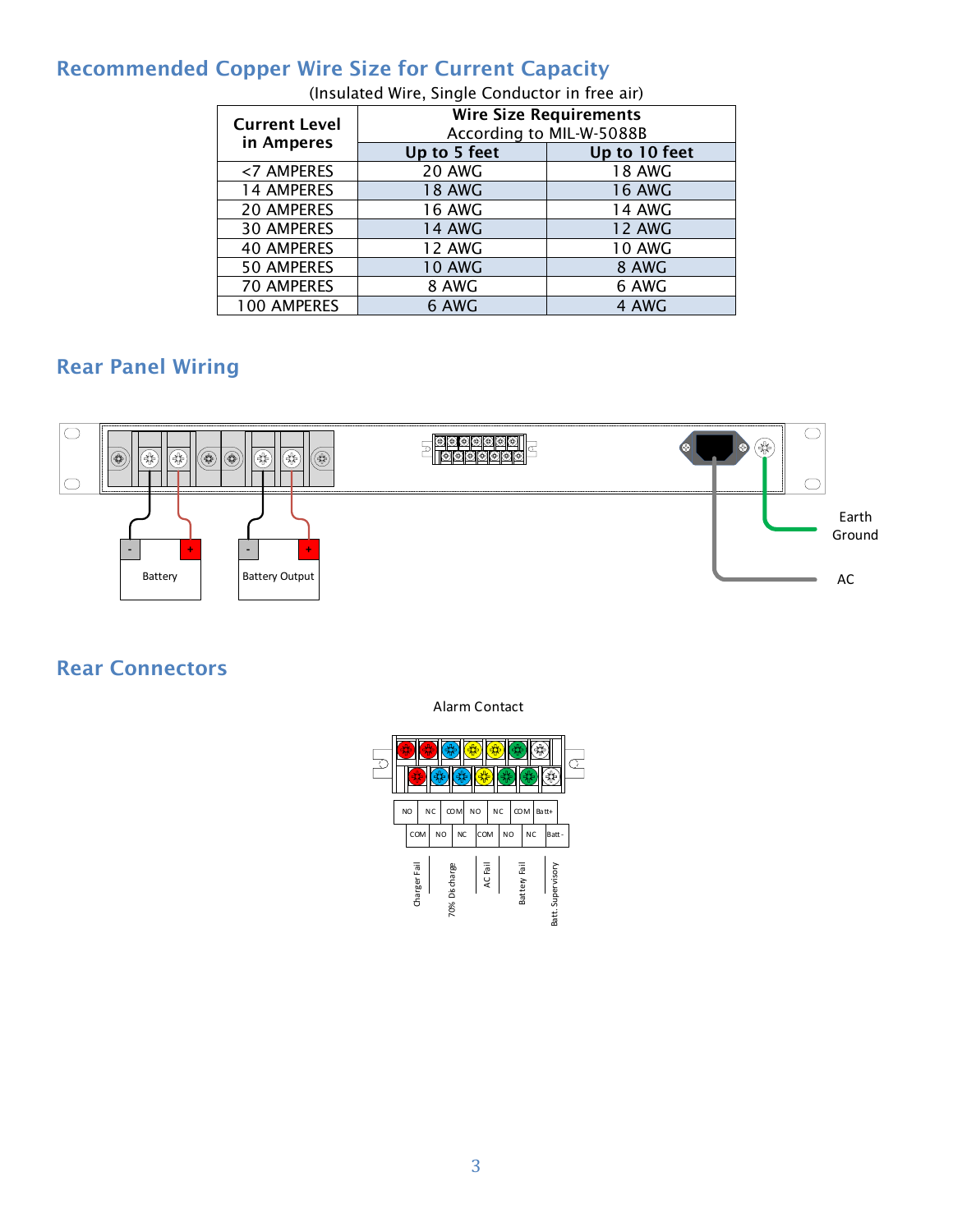#### Recommended Copper Wire Size for Current Capacity

| <b>Current Level</b><br>in Amperes | <b>Wire Size Requirements</b><br>According to MIL-W-5088B |               |  |  |  |  |  |
|------------------------------------|-----------------------------------------------------------|---------------|--|--|--|--|--|
|                                    | Up to 5 feet                                              | Up to 10 feet |  |  |  |  |  |
| <7 AMPERES                         | <b>20 AWG</b>                                             | <b>18 AWG</b> |  |  |  |  |  |
| <b>14 AMPERES</b>                  | <b>18 AWG</b>                                             | <b>16 AWG</b> |  |  |  |  |  |
| <b>20 AMPERES</b>                  | <b>16 AWG</b>                                             | 14 AWG        |  |  |  |  |  |
| <b>30 AMPERES</b>                  | <b>14 AWG</b>                                             | <b>12 AWG</b> |  |  |  |  |  |
| <b>40 AMPERES</b>                  | <b>12 AWG</b>                                             | <b>10 AWG</b> |  |  |  |  |  |
| <b>50 AMPERES</b>                  | <b>10 AWG</b>                                             | 8 AWG         |  |  |  |  |  |
| 70 AMPERES                         | 8 AWG                                                     | 6 AWG         |  |  |  |  |  |
| <b>100 AMPERES</b>                 | 6 AWG                                                     | 4 AWG         |  |  |  |  |  |

(Insulated Wire, Single Conductor in free air)

# Rear Panel Wiring



#### Rear Connectors

| 5<br>€ |  |              |     |                |               |            |  |                |    |              |            |           |       |                   |  |  |
|--------|--|--------------|-----|----------------|---------------|------------|--|----------------|----|--------------|------------|-----------|-------|-------------------|--|--|
|        |  | NO           |     | NC             |               | <b>COM</b> |  | N <sub>O</sub> | NC |              | <b>COM</b> |           | Batt+ |                   |  |  |
|        |  |              | COM | N <sub>O</sub> |               | <b>NC</b>  |  | COM            |    | <b>NO</b>    |            | <b>NC</b> |       | Batt-             |  |  |
|        |  | Charger Fail |     |                | 70% Discharge |            |  | AC Fail        |    | Battery Fail |            |           |       | Batt. Supervisory |  |  |

Alarm Contact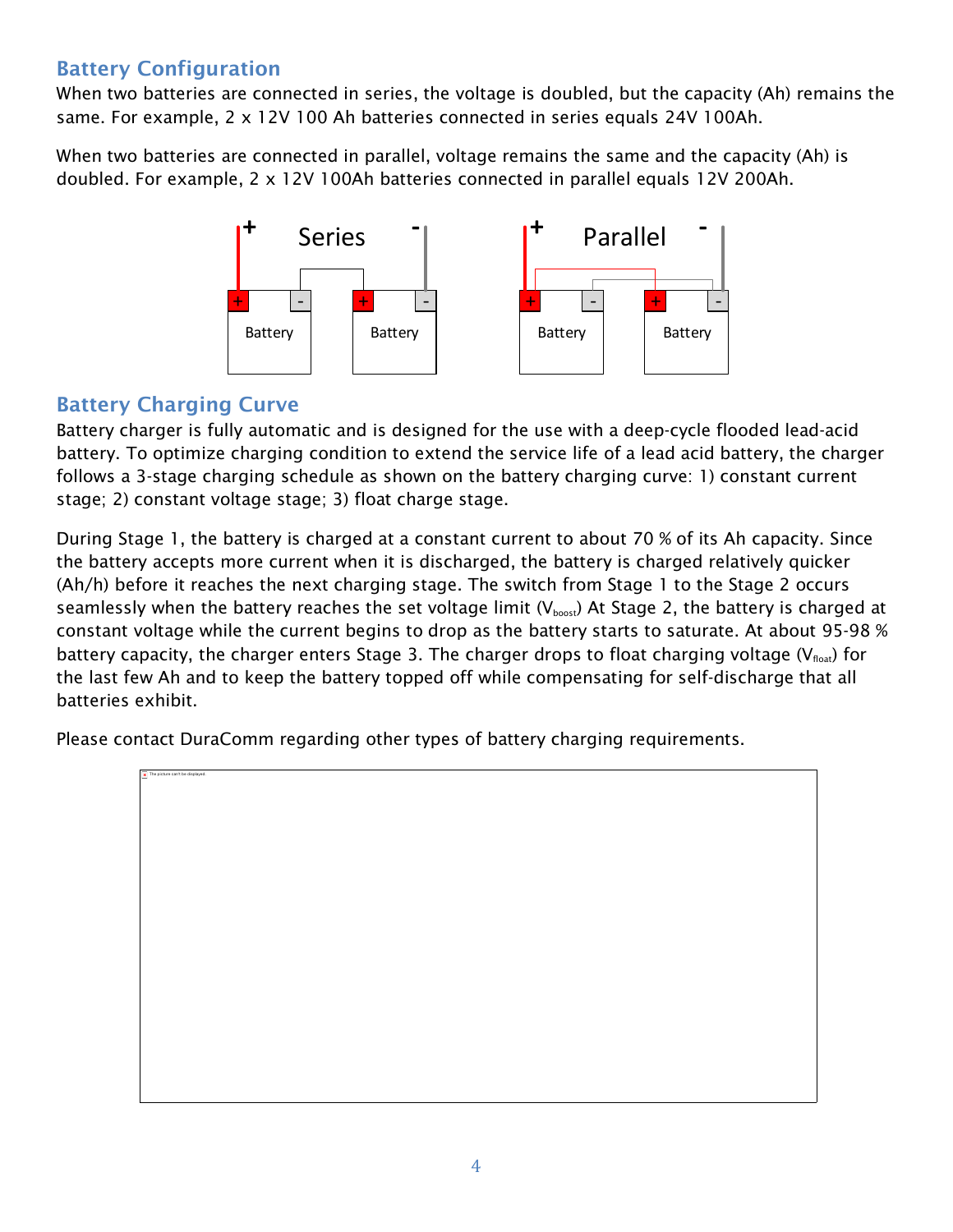#### Battery Configuration

When two batteries are connected in series, the voltage is doubled, but the capacity (Ah) remains the same. For example, 2 x 12V 100 Ah batteries connected in series equals 24V 100Ah.

When two batteries are connected in parallel, voltage remains the same and the capacity (Ah) is doubled. For example, 2 x 12V 100Ah batteries connected in parallel equals 12V 200Ah.



#### Battery Charging Curve

Battery charger is fully automatic and is designed for the use with a deep-cycle flooded lead-acid battery. To optimize charging condition to extend the service life of a lead acid battery, the charger follows a 3-stage charging schedule as shown on the battery charging curve: 1) constant current stage; 2) constant voltage stage; 3) float charge stage.

During Stage 1, the battery is charged at a constant current to about 70 % of its Ah capacity. Since the battery accepts more current when it is discharged, the battery is charged relatively quicker (Ah/h) before it reaches the next charging stage. The switch from Stage 1 to the Stage 2 occurs seamlessly when the battery reaches the set voltage limit  $(V_{boost})$  At Stage 2, the battery is charged at constant voltage while the current begins to drop as the battery starts to saturate. At about 95-98 % battery capacity, the charger enters Stage 3. The charger drops to float charging voltage ( $V_{\text{float}}$ ) for the last few Ah and to keep the battery topped off while compensating for self-discharge that all batteries exhibit.

Please contact DuraComm regarding other types of battery charging requirements.